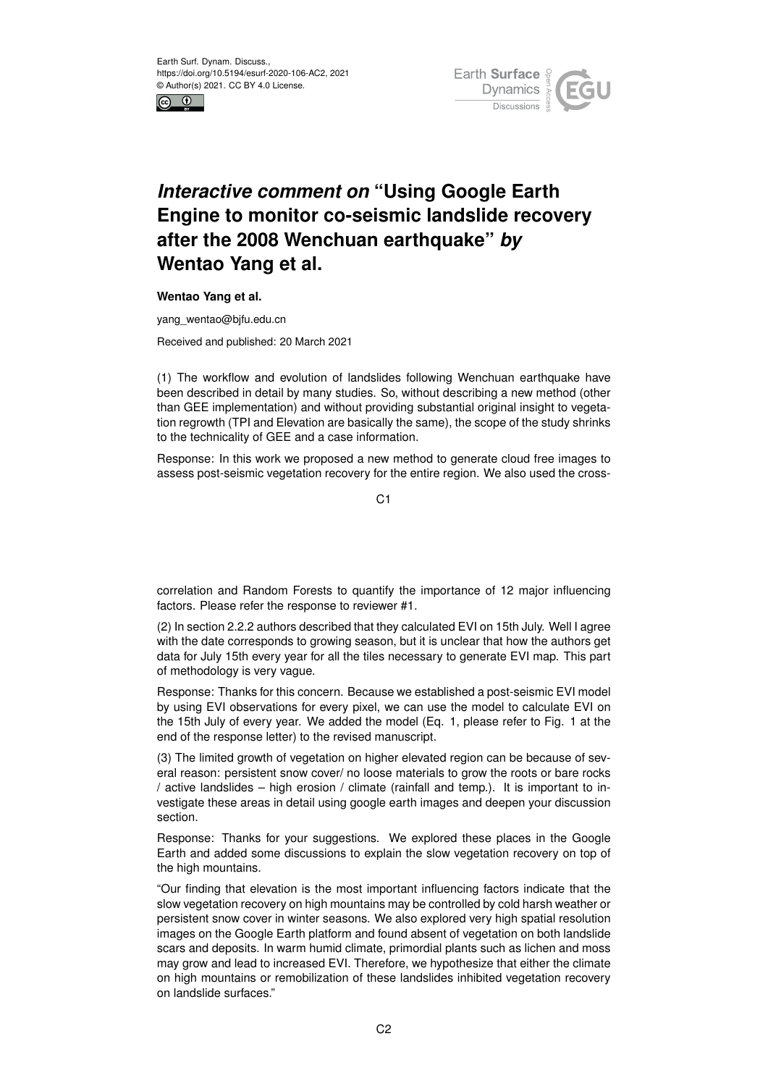



## *Interactive comment on* **"Using Google Earth Engine to monitor co-seismic landslide recovery after the 2008 Wenchuan earthquake"** *by* **Wentao Yang et al.**

## **Wentao Yang et al.**

yang\_wentao@bjfu.edu.cn

Received and published: 20 March 2021

(1) The workflow and evolution of landslides following Wenchuan earthquake have been described in detail by many studies. So, without describing a new method (other than GEE implementation) and without providing substantial original insight to vegetation regrowth (TPI and Elevation are basically the same), the scope of the study shrinks to the technicality of GEE and a case information.

Response: In this work we proposed a new method to generate cloud free images to assess post-seismic vegetation recovery for the entire region. We also used the cross-

C1

correlation and Random Forests to quantify the importance of 12 major influencing factors. Please refer the response to reviewer #1.

(2) In section 2.2.2 authors described that they calculated EVI on 15th July. Well I agree with the date corresponds to growing season, but it is unclear that how the authors get data for July 15th every year for all the tiles necessary to generate EVI map. This part of methodology is very vague.

Response: Thanks for this concern. Because we established a post-seismic EVI model by using EVI observations for every pixel, we can use the model to calculate EVI on the 15th July of every year. We added the model (Eq. 1, please refer to Fig. 1 at the end of the response letter) to the revised manuscript.

(3) The limited growth of vegetation on higher elevated region can be because of several reason: persistent snow cover/ no loose materials to grow the roots or bare rocks / active landslides – high erosion / climate (rainfall and temp.). It is important to investigate these areas in detail using google earth images and deepen your discussion section.

Response: Thanks for your suggestions. We explored these places in the Google Earth and added some discussions to explain the slow vegetation recovery on top of the high mountains.

"Our finding that elevation is the most important influencing factors indicate that the slow vegetation recovery on high mountains may be controlled by cold harsh weather or persistent snow cover in winter seasons. We also explored very high spatial resolution images on the Google Earth platform and found absent of vegetation on both landslide scars and deposits. In warm humid climate, primordial plants such as lichen and moss may grow and lead to increased EVI. Therefore, we hypothesize that either the climate on high mountains or remobilization of these landslides inhibited vegetation recovery on landslide surfaces."